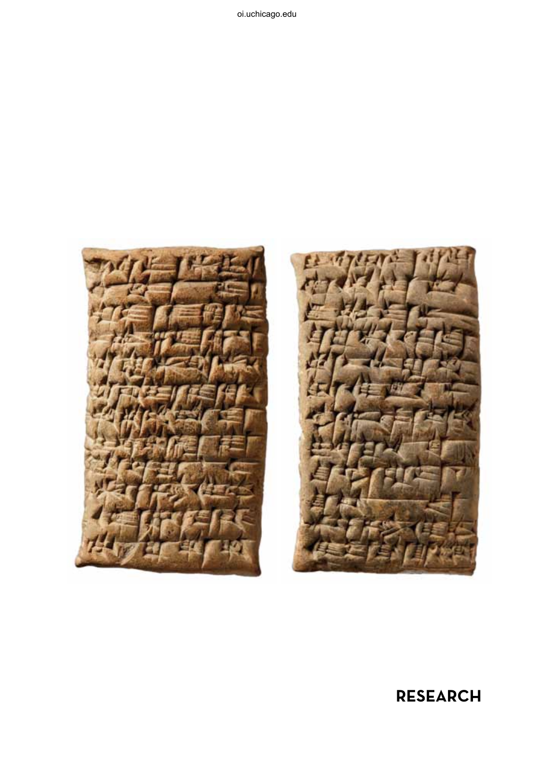



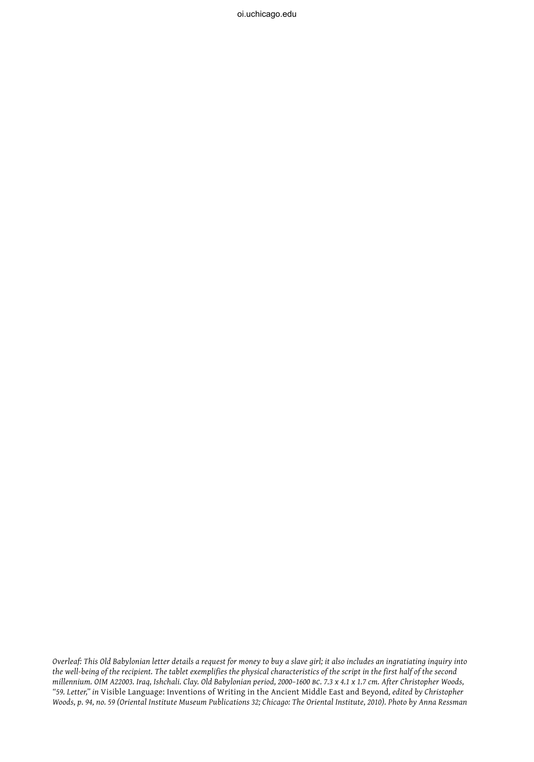*Overleaf: This Old Babylonian letter details a request for money to buy a slave girl; it also includes an ingratiating inquiry into the well-being of the recipient. The tablet exemplifies the physical characteristics of the script in the first half of the second millennium. OIM A22003. Iraq, Ishchali. Clay. Old Babylonian period, 2000–1600 bc. 7.3 x 4.1 x 1.7 cm. After Christopher Woods, "59. Letter," in* Visible Language: Inventions of Writing in the Ancient Middle East and Beyond*, edited by Christopher Woods, p. 94, no. 59 (Oriental Institute Museum Publications 32; Chicago: The Oriental Institute, 2010). Photo by Anna Ressman*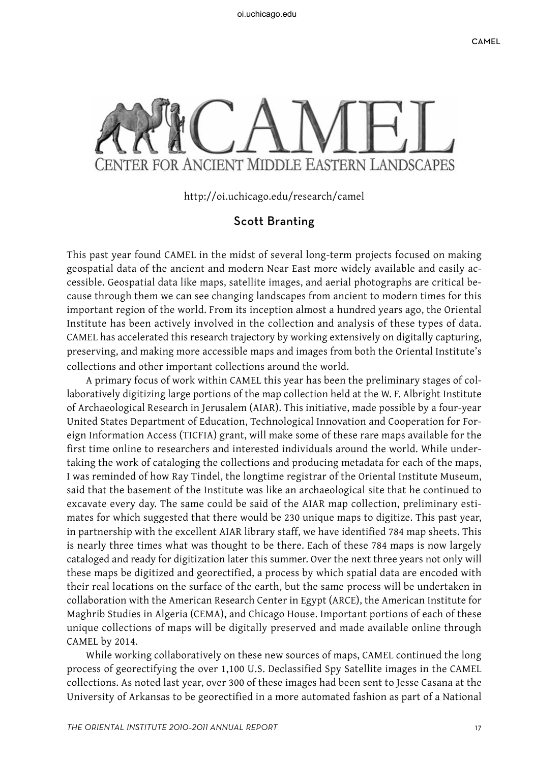

http://oi.uchicago.edu/research/camel

## Scott Branting

This past year found CAMEL in the midst of several long-term projects focused on making geospatial data of the ancient and modern Near East more widely available and easily accessible. Geospatial data like maps, satellite images, and aerial photographs are critical because through them we can see changing landscapes from ancient to modern times for this important region of the world. From its inception almost a hundred years ago, the Oriental Institute has been actively involved in the collection and analysis of these types of data. CAMEL has accelerated this research trajectory by working extensively on digitally capturing, preserving, and making more accessible maps and images from both the Oriental Institute's collections and other important collections around the world.

A primary focus of work within CAMEL this year has been the preliminary stages of collaboratively digitizing large portions of the map collection held at the W. F. Albright Institute of Archaeological Research in Jerusalem (AIAR). This initiative, made possible by a four-year United States Department of Education, Technological Innovation and Cooperation for Foreign Information Access (TICFIA) grant, will make some of these rare maps available for the first time online to researchers and interested individuals around the world. While undertaking the work of cataloging the collections and producing metadata for each of the maps, I was reminded of how Ray Tindel, the longtime registrar of the Oriental Institute Museum, said that the basement of the Institute was like an archaeological site that he continued to excavate every day. The same could be said of the AIAR map collection, preliminary estimates for which suggested that there would be 230 unique maps to digitize. This past year, in partnership with the excellent AIAR library staff, we have identified 784 map sheets. This is nearly three times what was thought to be there. Each of these 784 maps is now largely cataloged and ready for digitization later this summer. Over the next three years not only will these maps be digitized and georectified, a process by which spatial data are encoded with their real locations on the surface of the earth, but the same process will be undertaken in collaboration with the American Research Center in Egypt (ARCE), the American Institute for Maghrib Studies in Algeria (CEMA), and Chicago House. Important portions of each of these unique collections of maps will be digitally preserved and made available online through CAMEL by 2014.

While working collaboratively on these new sources of maps, CAMEL continued the long process of georectifying the over 1,100 U.S. Declassified Spy Satellite images in the CAMEL collections. As noted last year, over 300 of these images had been sent to Jesse Casana at the University of Arkansas to be georectified in a more automated fashion as part of a National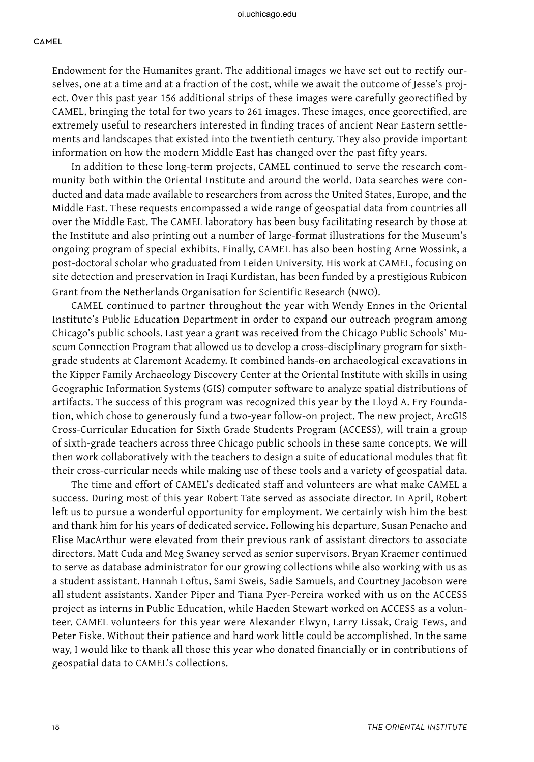## oi.uchicago.edu

## **CAMEL**

Endowment for the Humanites grant. The additional images we have set out to rectify ourselves, one at a time and at a fraction of the cost, while we await the outcome of Jesse's project. Over this past year 156 additional strips of these images were carefully georectified by CAMEL, bringing the total for two years to 261 images. These images, once georectified, are extremely useful to researchers interested in finding traces of ancient Near Eastern settlements and landscapes that existed into the twentieth century. They also provide important information on how the modern Middle East has changed over the past fifty years.

In addition to these long-term projects, CAMEL continued to serve the research community both within the Oriental Institute and around the world. Data searches were conducted and data made available to researchers from across the United States, Europe, and the Middle East. These requests encompassed a wide range of geospatial data from countries all over the Middle East. The CAMEL laboratory has been busy facilitating research by those at the Institute and also printing out a number of large-format illustrations for the Museum's ongoing program of special exhibits. Finally, CAMEL has also been hosting Arne Wossink, a post-doctoral scholar who graduated from Leiden University. His work at CAMEL, focusing on site detection and preservation in Iraqi Kurdistan, has been funded by a prestigious Rubicon Grant from the Netherlands Organisation for Scientific Research (NWO).

CAMEL continued to partner throughout the year with Wendy Ennes in the Oriental Institute's Public Education Department in order to expand our outreach program among Chicago's public schools. Last year a grant was received from the Chicago Public Schools' Museum Connection Program that allowed us to develop a cross-disciplinary program for sixthgrade students at Claremont Academy. It combined hands-on archaeological excavations in the Kipper Family Archaeology Discovery Center at the Oriental Institute with skills in using Geographic Information Systems (GIS) computer software to analyze spatial distributions of artifacts. The success of this program was recognized this year by the Lloyd A. Fry Foundation, which chose to generously fund a two-year follow-on project. The new project, ArcGIS Cross-Curricular Education for Sixth Grade Students Program (ACCESS), will train a group of sixth-grade teachers across three Chicago public schools in these same concepts. We will then work collaboratively with the teachers to design a suite of educational modules that fit their cross-curricular needs while making use of these tools and a variety of geospatial data.

The time and effort of CAMEL's dedicated staff and volunteers are what make CAMEL a success. During most of this year Robert Tate served as associate director. In April, Robert left us to pursue a wonderful opportunity for employment. We certainly wish him the best and thank him for his years of dedicated service. Following his departure, Susan Penacho and Elise MacArthur were elevated from their previous rank of assistant directors to associate directors. Matt Cuda and Meg Swaney served as senior supervisors. Bryan Kraemer continued to serve as database administrator for our growing collections while also working with us as a student assistant. Hannah Loftus, Sami Sweis, Sadie Samuels, and Courtney Jacobson were all student assistants. Xander Piper and Tiana Pyer-Pereira worked with us on the ACCESS project as interns in Public Education, while Haeden Stewart worked on ACCESS as a volunteer. CAMEL volunteers for this year were Alexander Elwyn, Larry Lissak, Craig Tews, and Peter Fiske. Without their patience and hard work little could be accomplished. In the same way, I would like to thank all those this year who donated financially or in contributions of geospatial data to CAMEL's collections.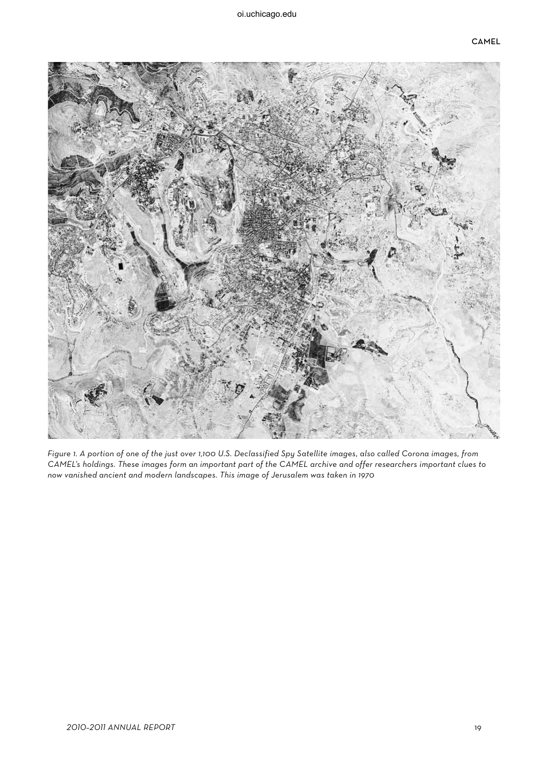

Figure 1. A portion of one of the just over 1,100 U.S. Declassified Spy Satellite images, also called Corona images, from CAMEL's holdings. These images form an important part of the CAMEL archive and offer researchers important clues to now vanished ancient and modern landscapes. This image of Jerusalem was taken in 1970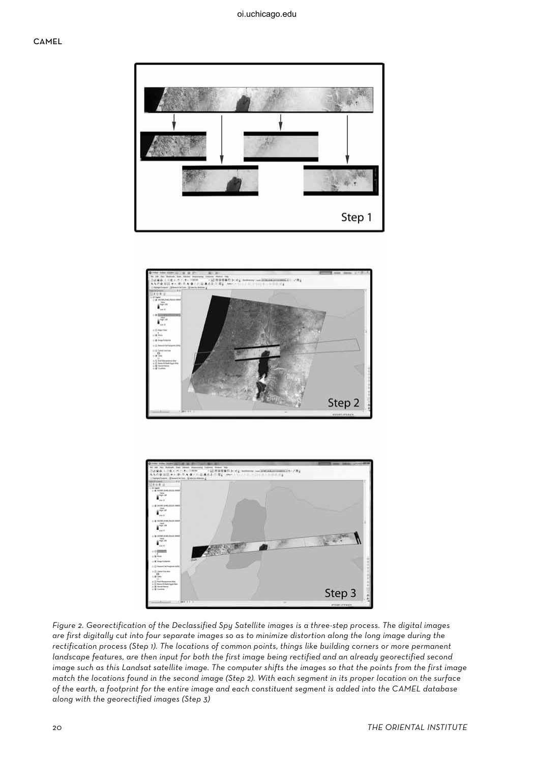





Figure 2. Georectification of the Declassified Spy Satellite images is a three-step process. The digital images are first digitally cut into four separate images so as to minimize distortion along the long image during the rectification process (Step 1). The locations of common points, things like building corners or more permanent landscape features, are then input for both the first image being rectified and an already georectified second image such as this Landsat satellite image. The computer shifts the images so that the points from the first image match the locations found in the second image (Step 2). With each segment in its proper location on the surface of the earth, a footprint for the entire image and each constituent segment is added into the CAMEL database along with the georectified images (Step 3)